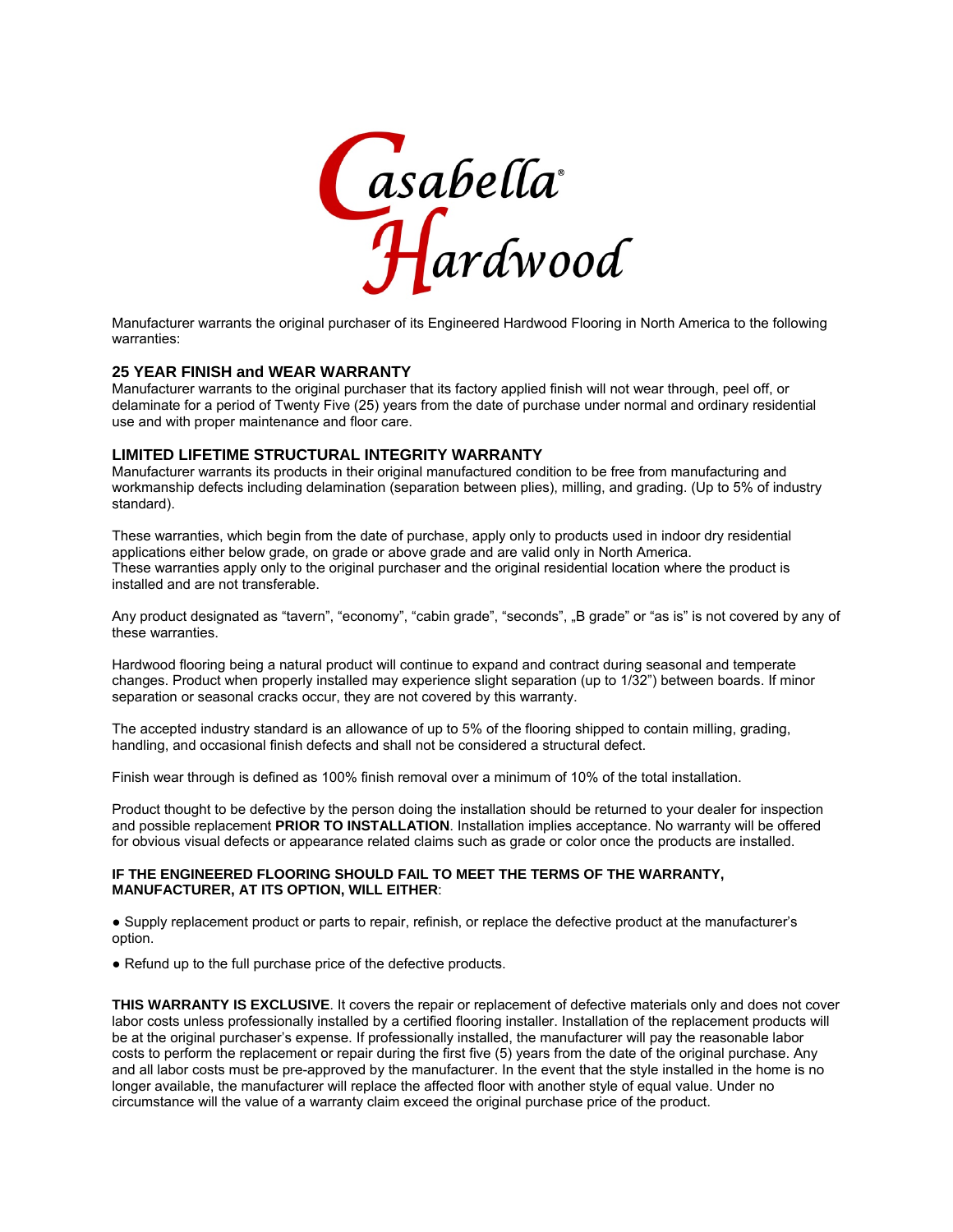

Manufacturer warrants the original purchaser of its Engineered Hardwood Flooring in North America to the following warranties:

# **25 YEAR FINISH and WEAR WARRANTY**

Manufacturer warrants to the original purchaser that its factory applied finish will not wear through, peel off, or delaminate for a period of Twenty Five (25) years from the date of purchase under normal and ordinary residential use and with proper maintenance and floor care.

# **LIMITED LIFETIME STRUCTURAL INTEGRITY WARRANTY**

Manufacturer warrants its products in their original manufactured condition to be free from manufacturing and workmanship defects including delamination (separation between plies), milling, and grading. (Up to 5% of industry standard).

These warranties, which begin from the date of purchase, apply only to products used in indoor dry residential applications either below grade, on grade or above grade and are valid only in North America. These warranties apply only to the original purchaser and the original residential location where the product is installed and are not transferable.

Any product designated as "tavern", "economy", "cabin grade", "seconds", "B grade" or "as is" is not covered by any of these warranties.

Hardwood flooring being a natural product will continue to expand and contract during seasonal and temperate changes. Product when properly installed may experience slight separation (up to 1/32") between boards. If minor separation or seasonal cracks occur, they are not covered by this warranty.

The accepted industry standard is an allowance of up to 5% of the flooring shipped to contain milling, grading, handling, and occasional finish defects and shall not be considered a structural defect.

Finish wear through is defined as 100% finish removal over a minimum of 10% of the total installation.

Product thought to be defective by the person doing the installation should be returned to your dealer for inspection and possible replacement **PRIOR TO INSTALLATION**. Installation implies acceptance. No warranty will be offered for obvious visual defects or appearance related claims such as grade or color once the products are installed.

# **IF THE ENGINEERED FLOORING SHOULD FAIL TO MEET THE TERMS OF THE WARRANTY, MANUFACTURER, AT ITS OPTION, WILL EITHER**:

● Supply replacement product or parts to repair, refinish, or replace the defective product at the manufacturer's option.

• Refund up to the full purchase price of the defective products.

**THIS WARRANTY IS EXCLUSIVE**. It covers the repair or replacement of defective materials only and does not cover labor costs unless professionally installed by a certified flooring installer. Installation of the replacement products will be at the original purchaser's expense. If professionally installed, the manufacturer will pay the reasonable labor costs to perform the replacement or repair during the first five (5) years from the date of the original purchase. Any and all labor costs must be pre-approved by the manufacturer. In the event that the style installed in the home is no longer available, the manufacturer will replace the affected floor with another style of equal value. Under no circumstance will the value of a warranty claim exceed the original purchase price of the product.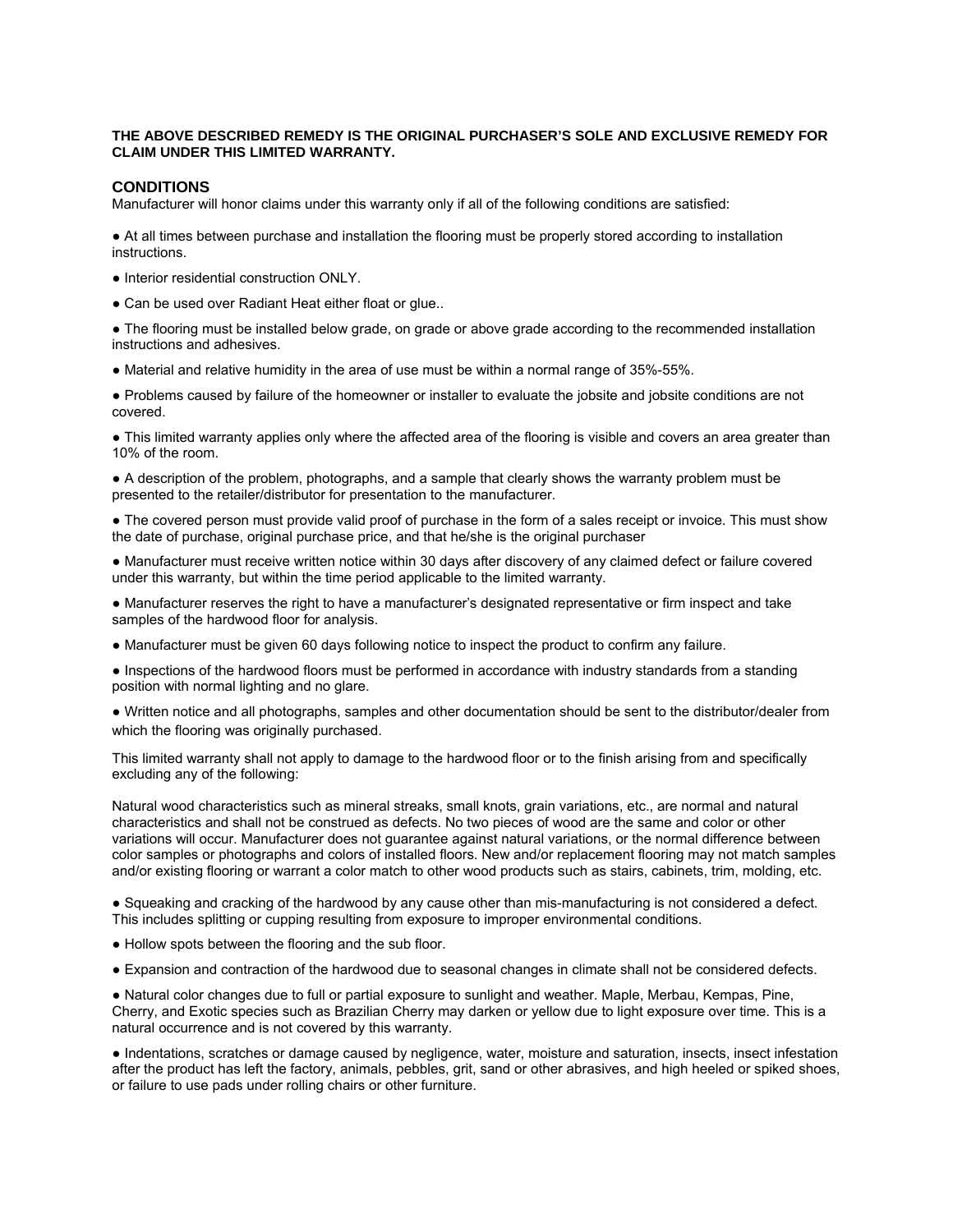# **THE ABOVE DESCRIBED REMEDY IS THE ORIGINAL PURCHASER'S SOLE AND EXCLUSIVE REMEDY FOR CLAIM UNDER THIS LIMITED WARRANTY.**

# **CONDITIONS**

Manufacturer will honor claims under this warranty only if all of the following conditions are satisfied:

● At all times between purchase and installation the flooring must be properly stored according to installation instructions.

- Interior residential construction ONLY.
- Can be used over Radiant Heat either float or glue..

• The flooring must be installed below grade, on grade or above grade according to the recommended installation instructions and adhesives.

● Material and relative humidity in the area of use must be within a normal range of 35%-55%.

● Problems caused by failure of the homeowner or installer to evaluate the jobsite and jobsite conditions are not covered.

• This limited warranty applies only where the affected area of the flooring is visible and covers an area greater than 10% of the room.

● A description of the problem, photographs, and a sample that clearly shows the warranty problem must be presented to the retailer/distributor for presentation to the manufacturer.

• The covered person must provide valid proof of purchase in the form of a sales receipt or invoice. This must show the date of purchase, original purchase price, and that he/she is the original purchaser

● Manufacturer must receive written notice within 30 days after discovery of any claimed defect or failure covered under this warranty, but within the time period applicable to the limited warranty.

● Manufacturer reserves the right to have a manufacturer's designated representative or firm inspect and take samples of the hardwood floor for analysis.

● Manufacturer must be given 60 days following notice to inspect the product to confirm any failure.

● Inspections of the hardwood floors must be performed in accordance with industry standards from a standing position with normal lighting and no glare.

● Written notice and all photographs, samples and other documentation should be sent to the distributor/dealer from which the flooring was originally purchased.

This limited warranty shall not apply to damage to the hardwood floor or to the finish arising from and specifically excluding any of the following:

Natural wood characteristics such as mineral streaks, small knots, grain variations, etc., are normal and natural characteristics and shall not be construed as defects. No two pieces of wood are the same and color or other variations will occur. Manufacturer does not guarantee against natural variations, or the normal difference between color samples or photographs and colors of installed floors. New and/or replacement flooring may not match samples and/or existing flooring or warrant a color match to other wood products such as stairs, cabinets, trim, molding, etc.

● Squeaking and cracking of the hardwood by any cause other than mis-manufacturing is not considered a defect. This includes splitting or cupping resulting from exposure to improper environmental conditions.

- Hollow spots between the flooring and the sub floor.
- Expansion and contraction of the hardwood due to seasonal changes in climate shall not be considered defects.

● Natural color changes due to full or partial exposure to sunlight and weather. Maple, Merbau, Kempas, Pine, Cherry, and Exotic species such as Brazilian Cherry may darken or yellow due to light exposure over time. This is a natural occurrence and is not covered by this warranty.

● Indentations, scratches or damage caused by negligence, water, moisture and saturation, insects, insect infestation after the product has left the factory, animals, pebbles, grit, sand or other abrasives, and high heeled or spiked shoes, or failure to use pads under rolling chairs or other furniture.